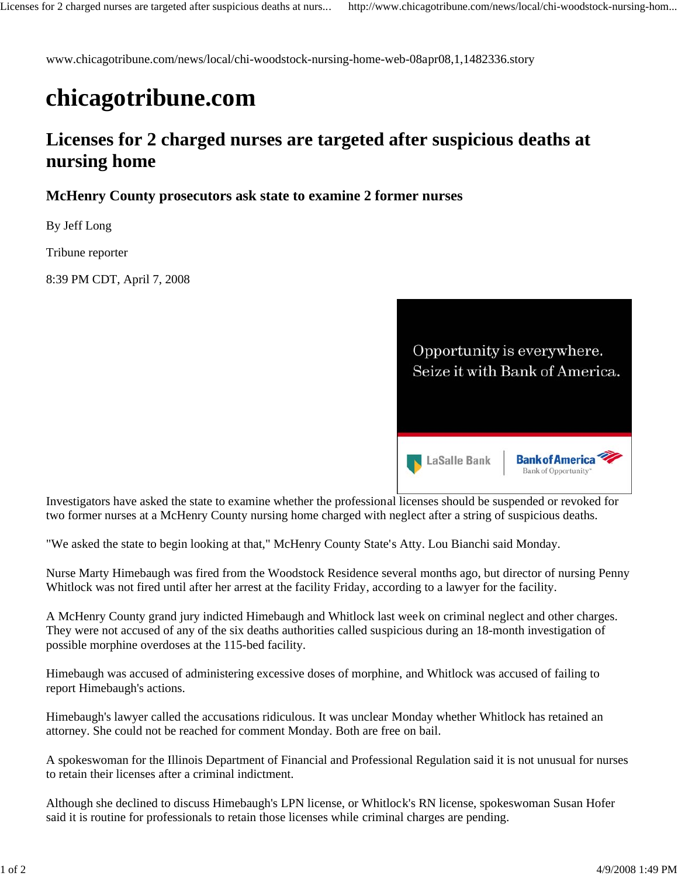www.chicagotribune.com/news/local/chi-woodstock-nursing-home-web-08apr08,1,1482336.story

## **chicagotribune.com**

## **Licenses for 2 charged nurses are targeted after suspicious deaths at nursing home**

## **McHenry County prosecutors ask state to examine 2 former nurses**

By Jeff Long

Tribune reporter

8:39 PM CDT, April 7, 2008



Investigators have asked the state to examine whether the professional licenses should be suspended or revoked for two former nurses at a McHenry County nursing home charged with neglect after a string of suspicious deaths.

"We asked the state to begin looking at that," McHenry County State's Atty. Lou Bianchi said Monday.

Nurse Marty Himebaugh was fired from the Woodstock Residence several months ago, but director of nursing Penny Whitlock was not fired until after her arrest at the facility Friday, according to a lawyer for the facility.

A McHenry County grand jury indicted Himebaugh and Whitlock last week on criminal neglect and other charges. They were not accused of any of the six deaths authorities called suspicious during an 18-month investigation of possible morphine overdoses at the 115-bed facility.

Himebaugh was accused of administering excessive doses of morphine, and Whitlock was accused of failing to report Himebaugh's actions.

Himebaugh's lawyer called the accusations ridiculous. It was unclear Monday whether Whitlock has retained an attorney. She could not be reached for comment Monday. Both are free on bail.

A spokeswoman for the Illinois Department of Financial and Professional Regulation said it is not unusual for nurses to retain their licenses after a criminal indictment.

Although she declined to discuss Himebaugh's LPN license, or Whitlock's RN license, spokeswoman Susan Hofer said it is routine for professionals to retain those licenses while criminal charges are pending.